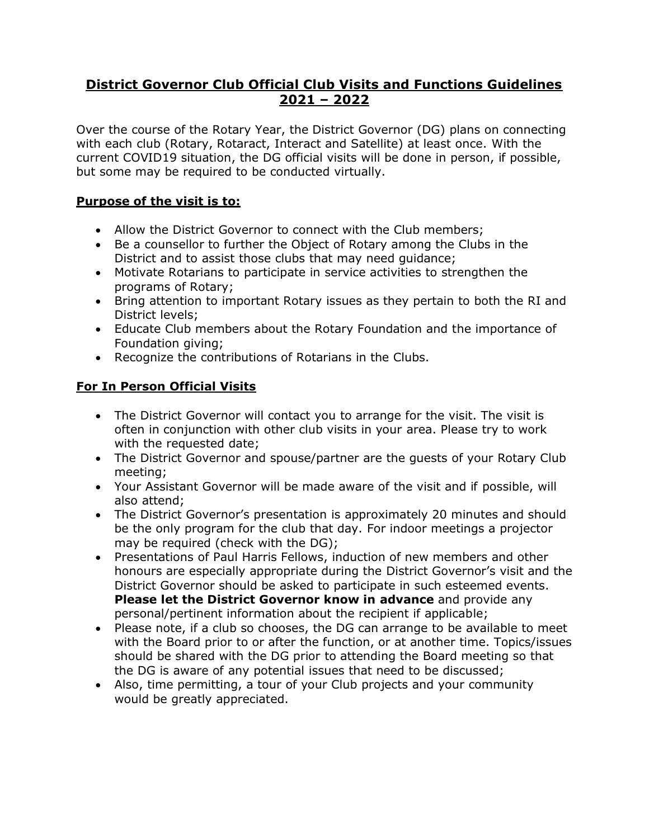# **District Governor Club Official Club Visits and Functions Guidelines 2021 – 2022**

Over the course of the Rotary Year, the District Governor (DG) plans on connecting with each club (Rotary, Rotaract, Interact and Satellite) at least once. With the current COVID19 situation, the DG official visits will be done in person, if possible, but some may be required to be conducted virtually.

# **Purpose of the visit is to:**

- Allow the District Governor to connect with the Club members;
- Be a counsellor to further the Object of Rotary among the Clubs in the District and to assist those clubs that may need guidance;
- Motivate Rotarians to participate in service activities to strengthen the programs of Rotary;
- Bring attention to important Rotary issues as they pertain to both the RI and District levels;
- Educate Club members about the Rotary Foundation and the importance of Foundation giving;
- Recognize the contributions of Rotarians in the Clubs.

# **For In Person Official Visits**

- The District Governor will contact you to arrange for the visit. The visit is often in conjunction with other club visits in your area. Please try to work with the requested date:
- The District Governor and spouse/partner are the guests of your Rotary Club meeting;
- Your Assistant Governor will be made aware of the visit and if possible, will also attend;
- The District Governor's presentation is approximately 20 minutes and should be the only program for the club that day. For indoor meetings a projector may be required (check with the DG);
- Presentations of Paul Harris Fellows, induction of new members and other honours are especially appropriate during the District Governor's visit and the District Governor should be asked to participate in such esteemed events. **Please let the District Governor know in advance** and provide any personal/pertinent information about the recipient if applicable;
- Please note, if a club so chooses, the DG can arrange to be available to meet with the Board prior to or after the function, or at another time. Topics/issues should be shared with the DG prior to attending the Board meeting so that the DG is aware of any potential issues that need to be discussed;
- Also, time permitting, a tour of your Club projects and your community would be greatly appreciated.